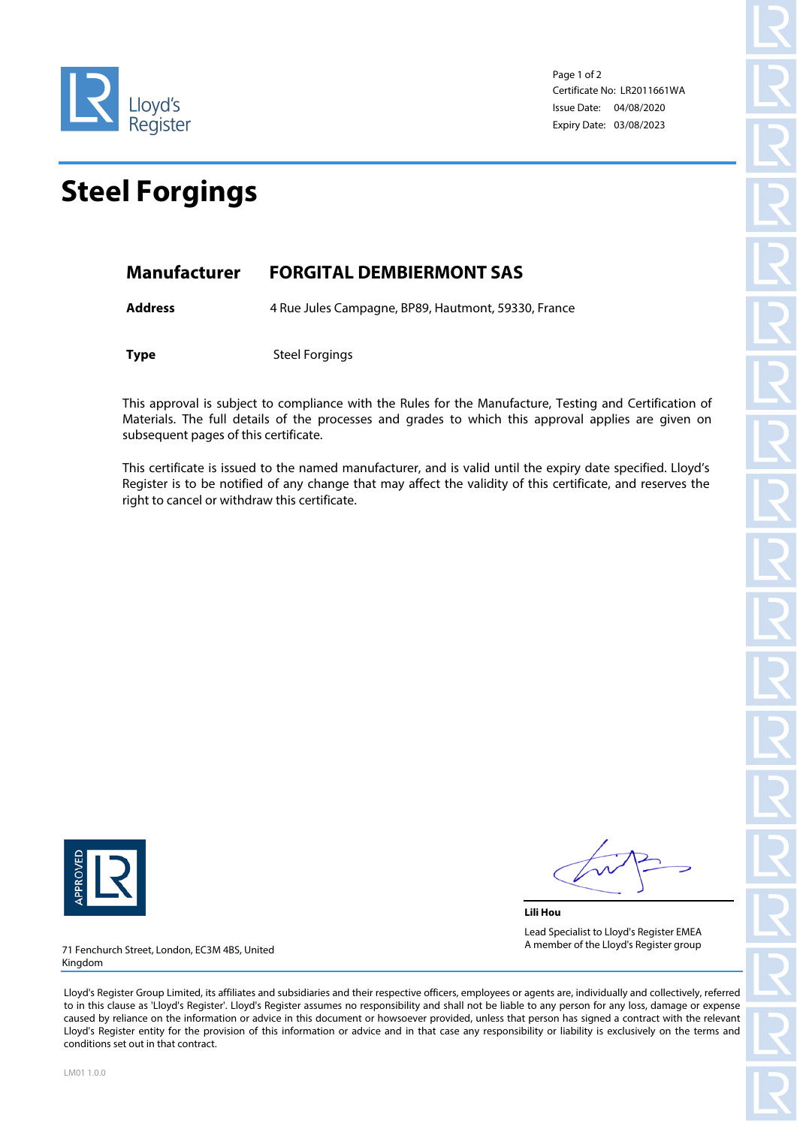

Page 1 of 2 Certificate No: LR2011661WA Issue Date: 04/08/2020 Expiry Date: 03/08/2023

## **Steel Forgings**

## **Manufacturer FORGITAL DEMBIERMONT SAS**

Address 4 Rue Jules Campagne, BP89, Hautmont, 59330, France

**Type** Steel Forgings

This approval is subject to compliance with the Rules for the Manufacture, Testing and Certification of Materials. The full details of the processes and grades to which this approval applies are given on subsequent pages of this certificate.

This certificate is issued to the named manufacturer, and is valid until the expiry date specified. Lloyd's Register is to be notified of any change that may affect the validity of this certificate, and reserves the right to cancel or withdraw this certificate.



**Lili Hou** Lead Specialist to Lloyd's Register EMEA A member of the Lloyd's Register group

71 Fenchurch Street, London, EC3M 4BS, United Kingdom

Lloyd's Register Group Limited, its affiliates and subsidiaries and their respective officers, employees or agents are, individually and collectively, referred to in this clause as 'Lloyd's Register'. Lloyd's Register assumes no responsibility and shall not be liable to any person for any loss, damage or expense caused by reliance on the information or advice in this document or howsoever provided, unless that person has signed a contract with the relevant Lloyd's Register entity for the provision of this information or advice and in that case any responsibility or liability is exclusively on the terms and conditions set out in that contract.